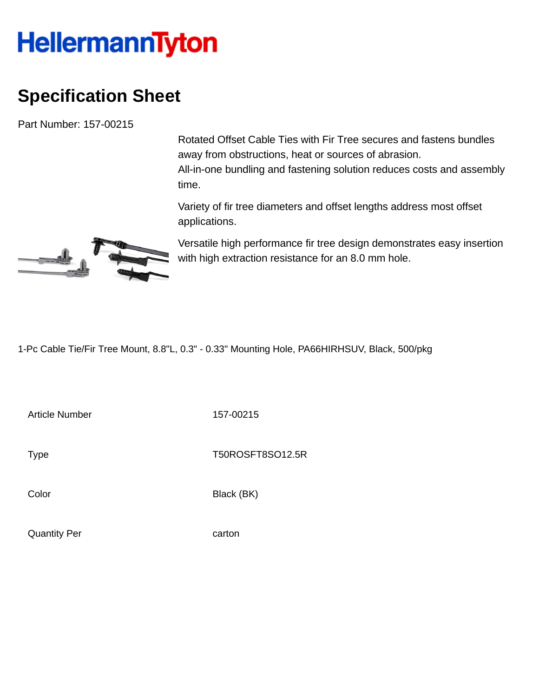## **HellermannTyton**

## **Specification Sheet**

Part Number: 157-00215

Rotated Offset Cable Ties with Fir Tree secures and fastens bundles away from obstructions, heat or sources of abrasion. All-in-one bundling and fastening solution reduces costs and assembly time.

Variety of fir tree diameters and offset lengths address most offset applications.

Versatile high performance fir tree design demonstrates easy insertion

J

with high extraction resistance for an 8.0 mm hole.

1-Pc Cable Tie/Fir Tree Mount, 8.8"L, 0.3" - 0.33" Mounting Hole, PA66HIRHSUV, Black, 500/pkg

Article Number 157-00215

Type Type T50ROSFT8SO12.5R

Color Black (BK)

Quantity Per carton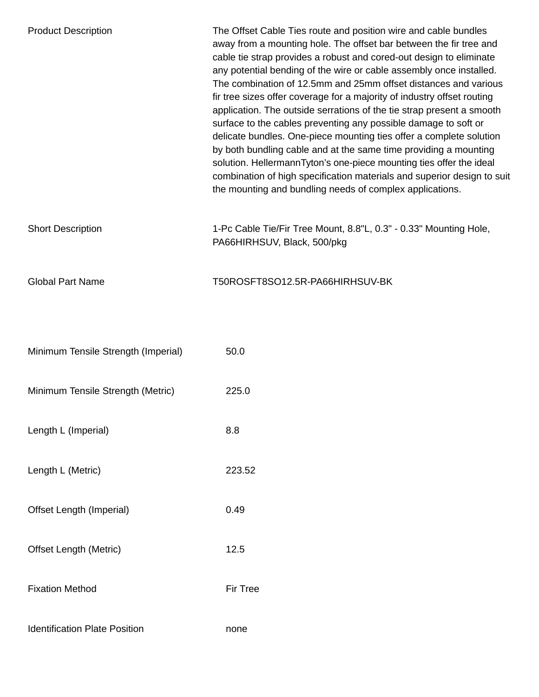| <b>Product Description</b>           | The Offset Cable Ties route and position wire and cable bundles<br>away from a mounting hole. The offset bar between the fir tree and<br>cable tie strap provides a robust and cored-out design to eliminate<br>any potential bending of the wire or cable assembly once installed.<br>The combination of 12.5mm and 25mm offset distances and various<br>fir tree sizes offer coverage for a majority of industry offset routing<br>application. The outside serrations of the tie strap present a smooth<br>surface to the cables preventing any possible damage to soft or<br>delicate bundles. One-piece mounting ties offer a complete solution<br>by both bundling cable and at the same time providing a mounting<br>solution. HellermannTyton's one-piece mounting ties offer the ideal<br>combination of high specification materials and superior design to suit<br>the mounting and bundling needs of complex applications. |
|--------------------------------------|----------------------------------------------------------------------------------------------------------------------------------------------------------------------------------------------------------------------------------------------------------------------------------------------------------------------------------------------------------------------------------------------------------------------------------------------------------------------------------------------------------------------------------------------------------------------------------------------------------------------------------------------------------------------------------------------------------------------------------------------------------------------------------------------------------------------------------------------------------------------------------------------------------------------------------------|
| <b>Short Description</b>             | 1-Pc Cable Tie/Fir Tree Mount, 8.8"L, 0.3" - 0.33" Mounting Hole,<br>PA66HIRHSUV, Black, 500/pkg                                                                                                                                                                                                                                                                                                                                                                                                                                                                                                                                                                                                                                                                                                                                                                                                                                       |
| <b>Global Part Name</b>              | T50ROSFT8SO12.5R-PA66HIRHSUV-BK                                                                                                                                                                                                                                                                                                                                                                                                                                                                                                                                                                                                                                                                                                                                                                                                                                                                                                        |
| Minimum Tensile Strength (Imperial)  | 50.0                                                                                                                                                                                                                                                                                                                                                                                                                                                                                                                                                                                                                                                                                                                                                                                                                                                                                                                                   |
| Minimum Tensile Strength (Metric)    | 225.0                                                                                                                                                                                                                                                                                                                                                                                                                                                                                                                                                                                                                                                                                                                                                                                                                                                                                                                                  |
| Length L (Imperial)                  | 8.8                                                                                                                                                                                                                                                                                                                                                                                                                                                                                                                                                                                                                                                                                                                                                                                                                                                                                                                                    |
| Length L (Metric)                    | 223.52                                                                                                                                                                                                                                                                                                                                                                                                                                                                                                                                                                                                                                                                                                                                                                                                                                                                                                                                 |
| Offset Length (Imperial)             | 0.49                                                                                                                                                                                                                                                                                                                                                                                                                                                                                                                                                                                                                                                                                                                                                                                                                                                                                                                                   |
| <b>Offset Length (Metric)</b>        | 12.5                                                                                                                                                                                                                                                                                                                                                                                                                                                                                                                                                                                                                                                                                                                                                                                                                                                                                                                                   |
| <b>Fixation Method</b>               | Fir Tree                                                                                                                                                                                                                                                                                                                                                                                                                                                                                                                                                                                                                                                                                                                                                                                                                                                                                                                               |
| <b>Identification Plate Position</b> | none                                                                                                                                                                                                                                                                                                                                                                                                                                                                                                                                                                                                                                                                                                                                                                                                                                                                                                                                   |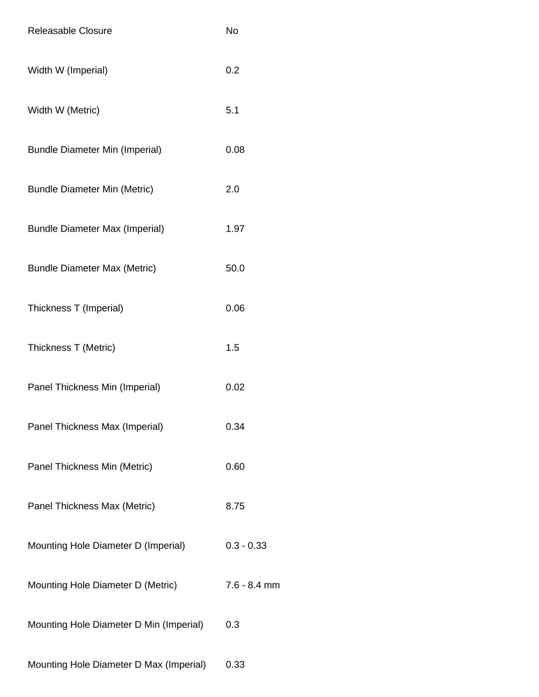| Releasable Closure                      | <b>No</b>      |
|-----------------------------------------|----------------|
| Width W (Imperial)                      | 0.2            |
| Width W (Metric)                        | 5.1            |
| <b>Bundle Diameter Min (Imperial)</b>   | 0.08           |
| <b>Bundle Diameter Min (Metric)</b>     | 2.0            |
| <b>Bundle Diameter Max (Imperial)</b>   | 1.97           |
| <b>Bundle Diameter Max (Metric)</b>     | 50.0           |
| Thickness T (Imperial)                  | 0.06           |
| Thickness T (Metric)                    | 1.5            |
| Panel Thickness Min (Imperial)          | 0.02           |
| Panel Thickness Max (Imperial)          | 0.34           |
| Panel Thickness Min (Metric)            | 0.60           |
| Panel Thickness Max (Metric)            | 8.75           |
| Mounting Hole Diameter D (Imperial)     | $0.3 - 0.33$   |
| Mounting Hole Diameter D (Metric)       | $7.6 - 8.4$ mm |
| Mounting Hole Diameter D Min (Imperial) | 0.3            |
| Mounting Hole Diameter D Max (Imperial) | 0.33           |